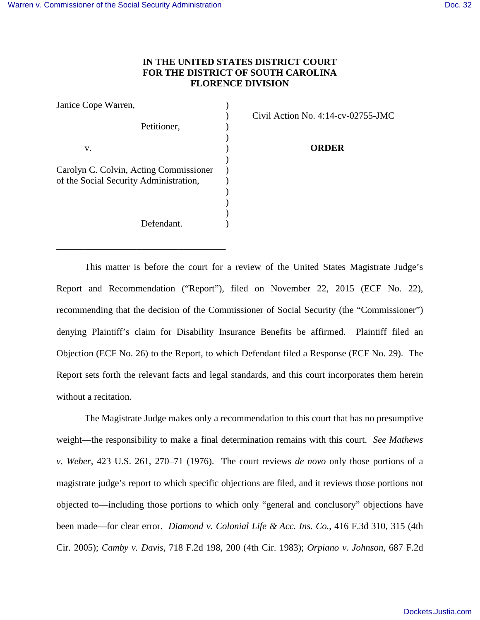## **IN THE UNITED STATES DISTRICT COURT FOR THE DISTRICT OF SOUTH CAROLINA FLORENCE DIVISION**

| Janice Cope Warren,                    |  |
|----------------------------------------|--|
|                                        |  |
| Petitioner,                            |  |
|                                        |  |
| v.                                     |  |
|                                        |  |
| Carolyn C. Colvin, Acting Commissioner |  |
| of the Social Security Administration, |  |
|                                        |  |
|                                        |  |
|                                        |  |
| Defendant.                             |  |

\_\_\_\_\_\_\_\_\_\_\_\_\_\_\_\_\_\_\_\_\_\_\_\_\_\_\_\_\_\_\_\_\_\_\_\_

) Civil Action No. 4:14-cv-02755-JMC

**ORDER** 

This matter is before the court for a review of the United States Magistrate Judge's Report and Recommendation ("Report"), filed on November 22, 2015 (ECF No. 22), recommending that the decision of the Commissioner of Social Security (the "Commissioner") denying Plaintiff's claim for Disability Insurance Benefits be affirmed. Plaintiff filed an Objection (ECF No. 26) to the Report, to which Defendant filed a Response (ECF No. 29). The Report sets forth the relevant facts and legal standards, and this court incorporates them herein without a recitation.

 The Magistrate Judge makes only a recommendation to this court that has no presumptive weight—the responsibility to make a final determination remains with this court. *See Mathews v. Weber*, 423 U.S. 261, 270–71 (1976). The court reviews *de novo* only those portions of a magistrate judge's report to which specific objections are filed, and it reviews those portions not objected to—including those portions to which only "general and conclusory" objections have been made—for clear error. *Diamond v. Colonial Life & Acc. Ins. Co.*, 416 F.3d 310, 315 (4th Cir. 2005); *Camby v. Davis*, 718 F.2d 198, 200 (4th Cir. 1983); *Orpiano v. Johnson*, 687 F.2d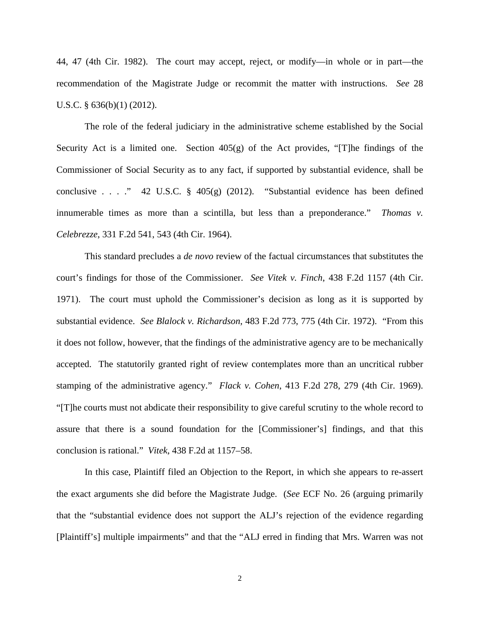44, 47 (4th Cir. 1982). The court may accept, reject, or modify—in whole or in part—the recommendation of the Magistrate Judge or recommit the matter with instructions. *See* 28 U.S.C. § 636(b)(1) (2012).

The role of the federal judiciary in the administrative scheme established by the Social Security Act is a limited one. Section  $405(g)$  of the Act provides, "[T]he findings of the Commissioner of Social Security as to any fact, if supported by substantial evidence, shall be conclusive . . . ." 42 U.S.C.  $\S$  405(g) (2012). "Substantial evidence has been defined innumerable times as more than a scintilla, but less than a preponderance." *Thomas v. Celebrezze*, 331 F.2d 541, 543 (4th Cir. 1964).

This standard precludes a *de novo* review of the factual circumstances that substitutes the court's findings for those of the Commissioner. *See Vitek v. Finch*, 438 F.2d 1157 (4th Cir. 1971). The court must uphold the Commissioner's decision as long as it is supported by substantial evidence. *See Blalock v. Richardson*, 483 F.2d 773, 775 (4th Cir. 1972). "From this it does not follow, however, that the findings of the administrative agency are to be mechanically accepted. The statutorily granted right of review contemplates more than an uncritical rubber stamping of the administrative agency." *Flack v. Cohen*, 413 F.2d 278, 279 (4th Cir. 1969). "[T]he courts must not abdicate their responsibility to give careful scrutiny to the whole record to assure that there is a sound foundation for the [Commissioner's] findings, and that this conclusion is rational." *Vitek*, 438 F.2d at 1157–58.

In this case, Plaintiff filed an Objection to the Report, in which she appears to re-assert the exact arguments she did before the Magistrate Judge. (*See* ECF No. 26 (arguing primarily that the "substantial evidence does not support the ALJ's rejection of the evidence regarding [Plaintiff's] multiple impairments" and that the "ALJ erred in finding that Mrs. Warren was not